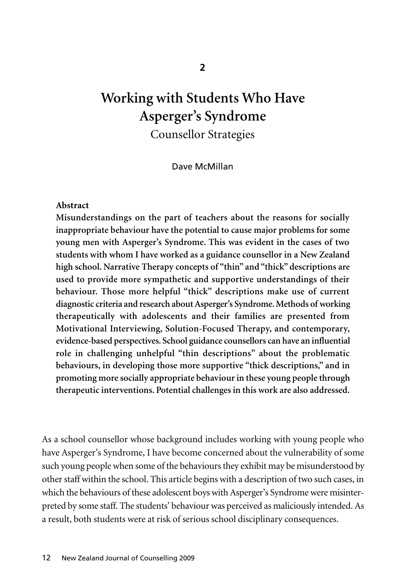# **Working with Students Who Have Asperger's Syndrome** Counsellor Strategies

Dave McMillan

#### **Abstract**

**Misunderstandings on the part of teachers about the reasons for socially inappropriate behaviour have the potential to cause major problems for some young men with Asperger's Syndrome. This was evident in the cases of two students with whom I have worked as a guidance counsellor in a New Zealand high school. Narrative Therapy concepts of "thin" and "thick" descriptions are used to provide more sympathetic and supportive understandings of their behaviour. Those more helpful "thick" descriptions make use of current diagnostic criteria and research about Asperger's Syndrome. Methods of working therapeutically with adolescents and their families are presented from Motivational Interviewing, Solution-Focused Therapy, and contemporary, evidence-based perspectives. School guidance counsellors can have an influential role in challenging unhelpful "thin descriptions" about the problematic behaviours, in developing those more supportive "thick descriptions," and in promoting more socially appropriate behaviour in these young people through therapeutic interventions. Potential challenges in this work are also addressed.**

As a school counsellor whose background includes working with young people who have Asperger's Syndrome, I have become concerned about the vulnerability of some such young people when some of the behaviours they exhibit may be misunderstood by other staff within the school. This article begins with a description of two such cases, in which the behaviours of these adolescent boys with Asperger's Syndrome were misinterpreted by some staff. The students' behaviour was perceived as maliciously intended. As a result, both students were at risk of serious school disciplinary consequences.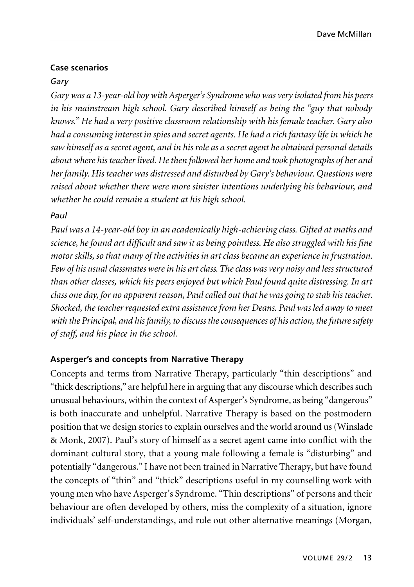# **Case scenarios**

# *Gary*

*Gary was a 13-year-old boy with Asperger's Syndrome who was very isolated from his peers in his mainstream high school. Gary described himself as being the "guy that nobody knows." He had a very positive classroom relationship with his female teacher. Gary also had a consuming interest in spies and secret agents. He had a rich fantasy life in which he saw himself as a secret agent, and in his role as a secret agent he obtained personal details about where his teacher lived. He then followed her home and took photographs of her and her family. His teacher was distressed and disturbed by Gary's behaviour. Questions were raised about whether there were more sinister intentions underlying his behaviour, and whether he could remain a student at his high school.*

# *Paul*

*Paul was a 14-year-old boy in an academically high-achieving class. Gifted at maths and science, he found art difficult and saw it as being pointless. He also struggled with his fine motor skills, so that many of the activities in art class became an experience in frustration. Few of his usual classmates were in his art class. The class was very noisy and less structured than other classes, which his peers enjoyed but which Paul found quite distressing. In art class one day, for no apparent reason, Paul called out that he was going to stab his teacher. Shocked, the teacher requested extra assistance from her Deans. Paul was led away to meet with the Principal, and his family, to discuss the consequences of his action, the future safety of staff, and his place in the school.*

# **Asperger's and concepts from Narrative Therapy**

Concepts and terms from Narrative Therapy, particularly "thin descriptions" and "thick descriptions," are helpful here in arguing that any discourse which describes such unusual behaviours, within the context of Asperger's Syndrome, as being "dangerous" is both inaccurate and unhelpful. Narrative Therapy is based on the postmodern position that we design stories to explain ourselves and the world around us (Winslade & Monk, 2007). Paul's story of himself as a secret agent came into conflict with the dominant cultural story, that a young male following a female is "disturbing" and potentially "dangerous." I have not been trained in Narrative Therapy, but have found the concepts of "thin" and "thick" descriptions useful in my counselling work with young men who have Asperger's Syndrome. "Thin descriptions" of persons and their behaviour are often developed by others, miss the complexity of a situation, ignore individuals' self-understandings, and rule out other alternative meanings (Morgan,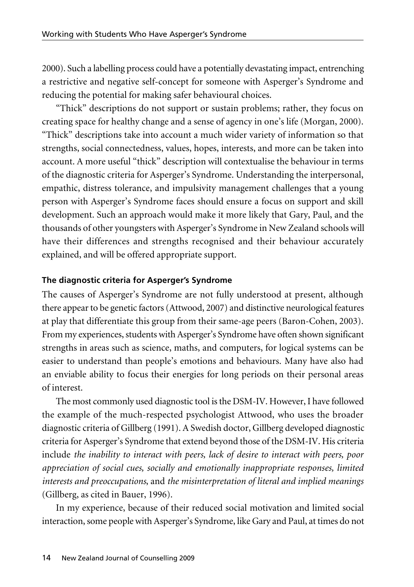2000). Such a labelling process could have a potentially devastating impact, entrenching a restrictive and negative self-concept for someone with Asperger's Syndrome and reducing the potential for making safer behavioural choices.

"Thick" descriptions do not support or sustain problems; rather, they focus on creating space for healthy change and a sense of agency in one's life (Morgan, 2000). "Thick" descriptions take into account a much wider variety of information so that strengths, social connectedness, values, hopes, interests, and more can be taken into account. A more useful "thick" description will contextualise the behaviour in terms of the diagnostic criteria for Asperger's Syndrome. Understanding the interpersonal, empathic, distress tolerance, and impulsivity management challenges that a young person with Asperger's Syndrome faces should ensure a focus on support and skill development. Such an approach would make it more likely that Gary, Paul, and the thousands of other youngsters with Asperger's Syndrome in New Zealand schools will have their differences and strengths recognised and their behaviour accurately explained, and will be offered appropriate support.

### **The diagnostic criteria for Asperger's Syndrome**

The causes of Asperger's Syndrome are not fully understood at present, although there appear to be genetic factors (Attwood, 2007) and distinctive neurological features at play that differentiate this group from their same-age peers (Baron-Cohen, 2003). From my experiences, students with Asperger's Syndrome have often shown significant strengths in areas such as science, maths, and computers, for logical systems can be easier to understand than people's emotions and behaviours. Many have also had an enviable ability to focus their energies for long periods on their personal areas of interest.

The most commonly used diagnostic tool is the DSM-IV. However, I have followed the example of the much-respected psychologist Attwood, who uses the broader diagnostic criteria of Gillberg (1991). A Swedish doctor, Gillberg developed diagnostic criteria for Asperger's Syndrome that extend beyond those of the DSM-IV. His criteria include *the inability to interact with peers, lack of desire to interact with peers, poor appreciation of social cues, socially and emotionally inappropriate responses, limited interests and preoccupations*, and *the misinterpretation of literal and implied meanings* (Gillberg, as cited in Bauer, 1996).

In my experience, because of their reduced social motivation and limited social interaction, some people with Asperger's Syndrome, like Gary and Paul, at times do not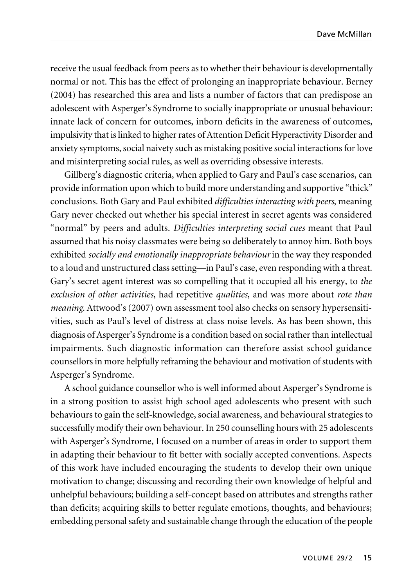receive the usual feedback from peers as to whether their behaviour is developmentally normal or not. This has the effect of prolonging an inappropriate behaviour. Berney (2004) has researched this area and lists a number of factors that can predispose an adolescent with Asperger's Syndrome to socially inappropriate or unusual behaviour: innate lack of concern for outcomes, inborn deficits in the awareness of outcomes, impulsivity that is linked to higher rates of Attention Deficit Hyperactivity Disorder and anxiety symptoms, social naivety such as mistaking positive social interactions for love and misinterpreting social rules, as well as overriding obsessive interests.

Gillberg's diagnostic criteria, when applied to Gary and Paul's case scenarios, can provide information upon which to build more understanding and supportive "thick" conclusions. Both Gary and Paul exhibited *difficulties interacting with peers*, meaning Gary never checked out whether his special interest in secret agents was considered "normal" by peers and adults. *Difficulties interpreting social cues* meant that Paul assumed that his noisy classmates were being so deliberately to annoy him. Both boys exhibited *socially and emotionally inappropriate behaviour* in the way they responded to a loud and unstructured class setting—in Paul's case, even responding with a threat. Gary's secret agent interest was so compelling that it occupied all his energy, to *the exclusion of other activities*, had repetitive *qualities*, and was more about *rote than meaning.* Attwood's (2007) own assessment tool also checks on sensory hypersensitivities, such as Paul's level of distress at class noise levels. As has been shown, this diagnosis of Asperger's Syndrome is a condition based on social rather than intellectual impairments. Such diagnostic information can therefore assist school guidance counsellors in more helpfully reframing the behaviour and motivation of students with Asperger's Syndrome.

A school guidance counsellor who is well informed about Asperger's Syndrome is in a strong position to assist high school aged adolescents who present with such behaviours to gain the self-knowledge, social awareness, and behavioural strategies to successfully modify their own behaviour. In 250 counselling hours with 25 adolescents with Asperger's Syndrome, I focused on a number of areas in order to support them in adapting their behaviour to fit better with socially accepted conventions. Aspects of this work have included encouraging the students to develop their own unique motivation to change; discussing and recording their own knowledge of helpful and unhelpful behaviours; building a self-concept based on attributes and strengths rather than deficits; acquiring skills to better regulate emotions, thoughts, and behaviours; embedding personal safety and sustainable change through the education of the people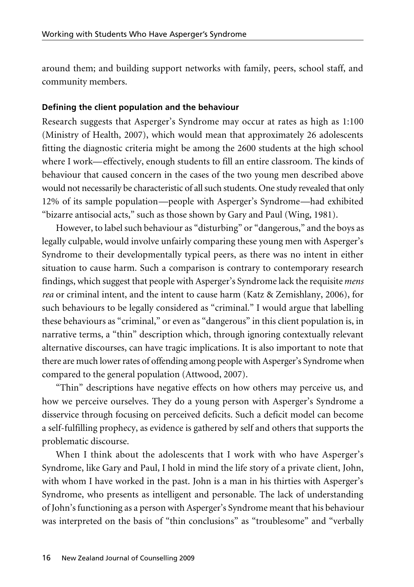around them; and building support networks with family, peers, school staff, and community members.

### **Defining the client population and the behaviour**

Research suggests that Asperger's Syndrome may occur at rates as high as 1:100 (Ministry of Health, 2007), which would mean that approximately 26 adolescents fitting the diagnostic criteria might be among the 2600 students at the high school where I work—effectively, enough students to fill an entire classroom. The kinds of behaviour that caused concern in the cases of the two young men described above would not necessarily be characteristic of all such students. One study revealed that only 12% of its sample population—people with Asperger's Syndrome—had exhibited "bizarre antisocial acts," such as those shown by Gary and Paul (Wing, 1981).

However, to label such behaviour as "disturbing" or "dangerous," and the boys as legally culpable, would involve unfairly comparing these young men with Asperger's Syndrome to their developmentally typical peers, as there was no intent in either situation to cause harm. Such a comparison is contrary to contemporary research findings, which suggest that people with Asperger's Syndrome lack the requisite *mens rea* or criminal intent, and the intent to cause harm (Katz & Zemishlany, 2006), for such behaviours to be legally considered as "criminal." I would argue that labelling these behaviours as "criminal," or even as "dangerous" in this client population is, in narrative terms, a "thin" description which, through ignoring contextually relevant alternative discourses, can have tragic implications. It is also important to note that there are much lower rates of offending among people with Asperger's Syndrome when compared to the general population (Attwood, 2007).

"Thin" descriptions have negative effects on how others may perceive us, and how we perceive ourselves. They do a young person with Asperger's Syndrome a disservice through focusing on perceived deficits. Such a deficit model can become a self-fulfilling prophecy, as evidence is gathered by self and others that supports the problematic discourse.

When I think about the adolescents that I work with who have Asperger's Syndrome, like Gary and Paul, I hold in mind the life story of a private client, John, with whom I have worked in the past. John is a man in his thirties with Asperger's Syndrome, who presents as intelligent and personable. The lack of understanding of John's functioning as a person with Asperger's Syndrome meant that his behaviour was interpreted on the basis of "thin conclusions" as "troublesome" and "verbally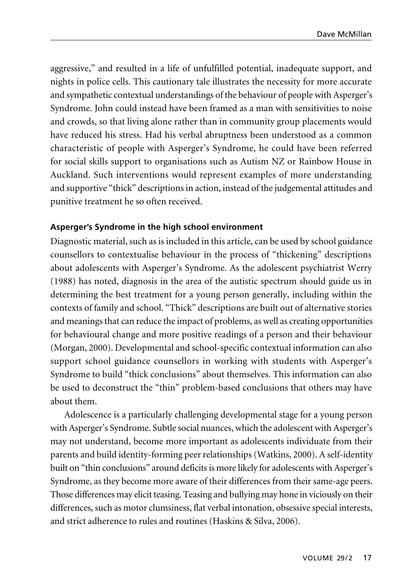aggressive," and resulted in a life of unfulfilled potential, inadequate support, and nights in police cells. This cautionary tale illustrates the necessity for more accurate and sympathetic contextual understandings of the behaviour of people with Asperger's Syndrome. John could instead have been framed as a man with sensitivities to noise and crowds, so that living alone rather than in community group placements would have reduced his stress. Had his verbal abruptness been understood as a common characteristic of people with Asperger's Syndrome, he could have been referred for social skills support to organisations such as Autism NZ or Rainbow House in Auckland. Such interventions would represent examples of more understanding and supportive "thick" descriptions in action, instead of the judgemental attitudes and punitive treatment he so often received.

### **Asperger's Syndrome in the high school environment**

Diagnostic material, such as is included in this article, can be used by school guidance counsellors to contextualise behaviour in the process of "thickening" descriptions about adolescents with Asperger's Syndrome. As the adolescent psychiatrist Werry (1988) has noted, diagnosis in the area of the autistic spectrum should guide us in determining the best treatment for a young person generally, including within the contexts of family and school. "Thick" descriptions are built out of alternative stories and meanings that can reduce the impact of problems, as well as creating opportunities for behavioural change and more positive readings of a person and their behaviour (Morgan, 2000). Developmental and school-specific contextual information can also support school guidance counsellors in working with students with Asperger's Syndrome to build "thick conclusions" about themselves. This information can also be used to deconstruct the "thin" problem-based conclusions that others may have about them.

Adolescence is a particularly challenging developmental stage for a young person with Asperger's Syndrome. Subtle social nuances, which the adolescent with Asperger's may not understand, become more important as adolescents individuate from their parents and build identity-forming peer relationships (Watkins, 2000). A self-identity built on "thin conclusions" around deficits is more likely for adolescents with Asperger's Syndrome, as they become more aware of their differences from their same-age peers. Those differences may elicit teasing. Teasing and bullying may hone in viciously on their differences, such as motor clumsiness, flat verbal intonation, obsessive special interests, and strict adherence to rules and routines (Haskins & Silva, 2006).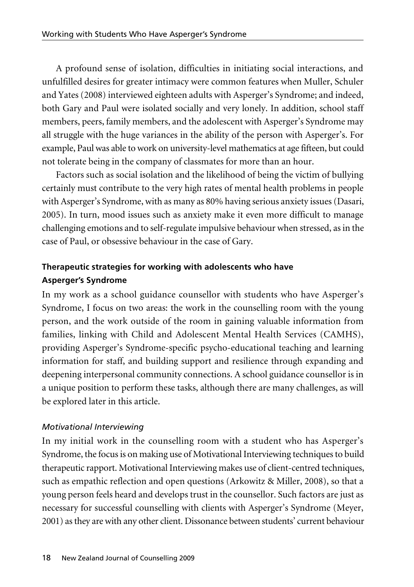A profound sense of isolation, difficulties in initiating social interactions, and unfulfilled desires for greater intimacy were common features when Muller, Schuler and Yates (2008) interviewed eighteen adults with Asperger's Syndrome; and indeed, both Gary and Paul were isolated socially and very lonely. In addition, school staff members, peers, family members, and the adolescent with Asperger's Syndrome may all struggle with the huge variances in the ability of the person with Asperger's. For example, Paul was able to work on university-level mathematics at age fifteen, but could not tolerate being in the company of classmates for more than an hour.

Factors such as social isolation and the likelihood of being the victim of bullying certainly must contribute to the very high rates of mental health problems in people with Asperger's Syndrome, with as many as 80% having serious anxiety issues (Dasari, 2005). In turn, mood issues such as anxiety make it even more difficult to manage challenging emotions and to self-regulate impulsive behaviour when stressed, as in the case of Paul, or obsessive behaviour in the case of Gary.

# **Therapeutic strategies for working with adolescents who have Asperger's Syndrome**

In my work as a school guidance counsellor with students who have Asperger's Syndrome, I focus on two areas: the work in the counselling room with the young person, and the work outside of the room in gaining valuable information from families, linking with Child and Adolescent Mental Health Services (CAMHS), providing Asperger's Syndrome-specific psycho-educational teaching and learning information for staff, and building support and resilience through expanding and deepening interpersonal community connections. A school guidance counsellor is in a unique position to perform these tasks, although there are many challenges, as will be explored later in this article.

# *Motivational Interviewing*

In my initial work in the counselling room with a student who has Asperger's Syndrome, the focus is on making use of Motivational Interviewing techniques to build therapeutic rapport. Motivational Interviewing makes use of client-centred techniques, such as empathic reflection and open questions (Arkowitz & Miller, 2008), so that a young person feels heard and develops trust in the counsellor. Such factors are just as necessary for successful counselling with clients with Asperger's Syndrome (Meyer, 2001) as they are with any other client. Dissonance between students' current behaviour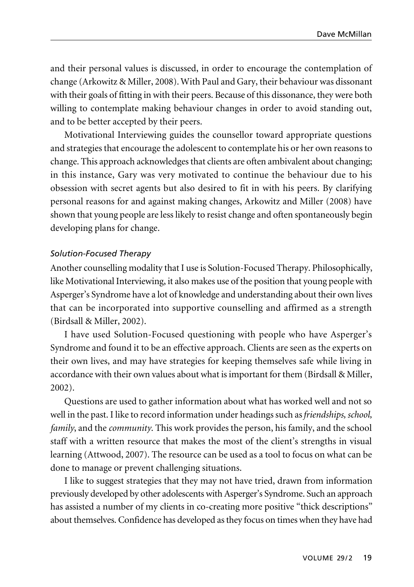and their personal values is discussed, in order to encourage the contemplation of change (Arkowitz & Miller, 2008).With Paul and Gary, their behaviour was dissonant with their goals of fitting in with their peers. Because of this dissonance, they were both willing to contemplate making behaviour changes in order to avoid standing out, and to be better accepted by their peers.

Motivational Interviewing guides the counsellor toward appropriate questions and strategies that encourage the adolescent to contemplate his or her own reasons to change. This approach acknowledges that clients are often ambivalent about changing; in this instance, Gary was very motivated to continue the behaviour due to his obsession with secret agents but also desired to fit in with his peers. By clarifying personal reasons for and against making changes, Arkowitz and Miller (2008) have shown that young people are less likely to resist change and often spontaneously begin developing plans for change.

### *Solution-Focused Therapy*

Another counselling modality that I use is Solution-Focused Therapy. Philosophically, like Motivational Interviewing, it also makes use of the position that young people with Asperger's Syndrome have a lot of knowledge and understanding about their own lives that can be incorporated into supportive counselling and affirmed as a strength (Birdsall & Miller, 2002).

I have used Solution-Focused questioning with people who have Asperger's Syndrome and found it to be an effective approach. Clients are seen as the experts on their own lives, and may have strategies for keeping themselves safe while living in accordance with their own values about what is important for them (Birdsall & Miller, 2002).

Questions are used to gather information about what has worked well and not so well in the past. I like to record information under headings such as *friendships, school, family*, and the *community*. This work provides the person, his family, and the school staff with a written resource that makes the most of the client's strengths in visual learning (Attwood, 2007). The resource can be used as a tool to focus on what can be done to manage or prevent challenging situations.

I like to suggest strategies that they may not have tried, drawn from information previously developed by other adolescents with Asperger's Syndrome. Such an approach has assisted a number of my clients in co-creating more positive "thick descriptions" about themselves. Confidence has developed as they focus on times when they have had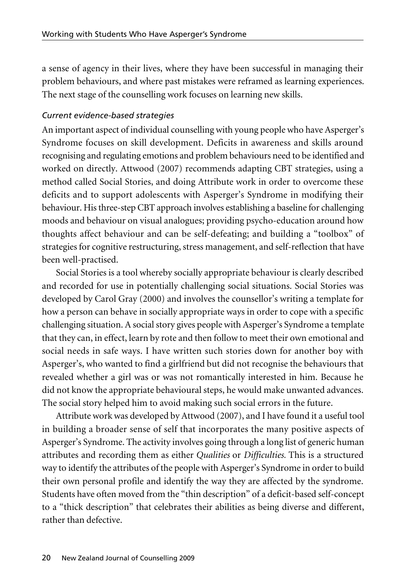a sense of agency in their lives, where they have been successful in managing their problem behaviours, and where past mistakes were reframed as learning experiences. The next stage of the counselling work focuses on learning new skills.

### *Current evidence-based strategies*

An important aspect of individual counselling with young people who have Asperger's Syndrome focuses on skill development. Deficits in awareness and skills around recognising and regulating emotions and problem behaviours need to be identified and worked on directly. Attwood (2007) recommends adapting CBT strategies, using a method called Social Stories, and doing Attribute work in order to overcome these deficits and to support adolescents with Asperger's Syndrome in modifying their behaviour. His three-step CBT approach involves establishing a baseline for challenging moods and behaviour on visual analogues; providing psycho-education around how thoughts affect behaviour and can be self-defeating; and building a "toolbox" of strategies for cognitive restructuring, stress management, and self-reflection that have been well-practised.

Social Stories is a tool whereby socially appropriate behaviour is clearly described and recorded for use in potentially challenging social situations. Social Stories was developed by Carol Gray (2000) and involves the counsellor's writing a template for how a person can behave in socially appropriate ways in order to cope with a specific challenging situation. A social story gives people with Asperger's Syndrome a template that they can, in effect, learn by rote and then follow to meet their own emotional and social needs in safe ways. I have written such stories down for another boy with Asperger's, who wanted to find a girlfriend but did not recognise the behaviours that revealed whether a girl was or was not romantically interested in him. Because he did not know the appropriate behavioural steps, he would make unwanted advances. The social story helped him to avoid making such social errors in the future.

Attribute work was developed by Attwood (2007), and I have found it a useful tool in building a broader sense of self that incorporates the many positive aspects of Asperger's Syndrome. The activity involves going through a long list of generic human attributes and recording them as either *Qualities* or *Difficulties.* This is a structured way to identify the attributes of the people with Asperger's Syndrome in order to build their own personal profile and identify the way they are affected by the syndrome. Students have often moved from the "thin description" of a deficit-based self-concept to a "thick description" that celebrates their abilities as being diverse and different, rather than defective.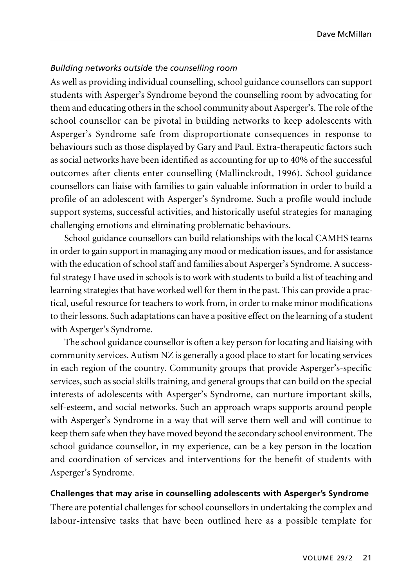#### *Building networks outside the counselling room*

As well as providing individual counselling, school guidance counsellors can support students with Asperger's Syndrome beyond the counselling room by advocating for them and educating others in the school community about Asperger's. The role of the school counsellor can be pivotal in building networks to keep adolescents with Asperger's Syndrome safe from disproportionate consequences in response to behaviours such as those displayed by Gary and Paul. Extra-therapeutic factors such as social networks have been identified as accounting for up to 40% of the successful outcomes after clients enter counselling (Mallinckrodt, 1996). School guidance counsellors can liaise with families to gain valuable information in order to build a profile of an adolescent with Asperger's Syndrome. Such a profile would include support systems, successful activities, and historically useful strategies for managing challenging emotions and eliminating problematic behaviours.

School guidance counsellors can build relationships with the local CAMHS teams in order to gain support in managing any mood or medication issues, and for assistance with the education of school staff and families about Asperger's Syndrome. A successful strategy I have used in schools is to work with students to build a list of teaching and learning strategies that have worked well for them in the past. This can provide a practical, useful resource for teachers to work from, in order to make minor modifications to their lessons. Such adaptations can have a positive effect on the learning of a student with Asperger's Syndrome.

The school guidance counsellor is often a key person for locating and liaising with community services. Autism NZ is generally a good place to start for locating services in each region of the country. Community groups that provide Asperger's-specific services, such as social skills training, and general groups that can build on the special interests of adolescents with Asperger's Syndrome, can nurture important skills, self-esteem, and social networks. Such an approach wraps supports around people with Asperger's Syndrome in a way that will serve them well and will continue to keep them safe when they have moved beyond the secondary school environment. The school guidance counsellor, in my experience, can be a key person in the location and coordination of services and interventions for the benefit of students with Asperger's Syndrome.

### **Challenges that may arise in counselling adolescents with Asperger's Syndrome**

There are potential challenges for school counsellors in undertaking the complex and labour-intensive tasks that have been outlined here as a possible template for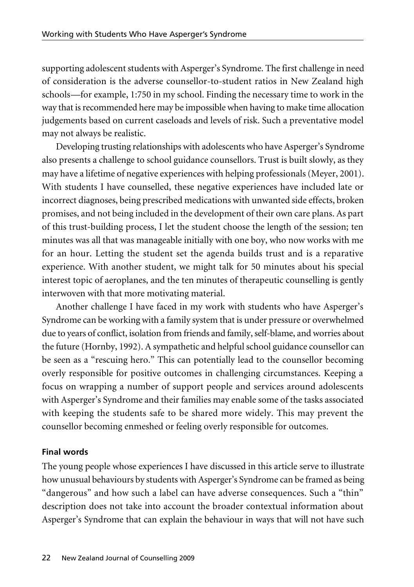supporting adolescent students with Asperger's Syndrome. The first challenge in need of consideration is the adverse counsellor-to-student ratios in New Zealand high schools—for example, 1:750 in my school. Finding the necessary time to work in the way that is recommended here may be impossible when having to make time allocation judgements based on current caseloads and levels of risk. Such a preventative model may not always be realistic.

Developing trusting relationships with adolescents who have Asperger's Syndrome also presents a challenge to school guidance counsellors. Trust is built slowly, as they may have a lifetime of negative experiences with helping professionals (Meyer, 2001). With students I have counselled, these negative experiences have included late or incorrect diagnoses, being prescribed medications with unwanted side effects, broken promises, and not being included in the development of their own care plans. As part of this trust-building process, I let the student choose the length of the session; ten minutes was all that was manageable initially with one boy, who now works with me for an hour. Letting the student set the agenda builds trust and is a reparative experience. With another student, we might talk for 50 minutes about his special interest topic of aeroplanes, and the ten minutes of therapeutic counselling is gently interwoven with that more motivating material.

Another challenge I have faced in my work with students who have Asperger's Syndrome can be working with a family system that is under pressure or overwhelmed due to years of conflict, isolation from friends and family, self-blame, and worries about the future (Hornby, 1992). A sympathetic and helpful school guidance counsellor can be seen as a "rescuing hero." This can potentially lead to the counsellor becoming overly responsible for positive outcomes in challenging circumstances. Keeping a focus on wrapping a number of support people and services around adolescents with Asperger's Syndrome and their families may enable some of the tasks associated with keeping the students safe to be shared more widely. This may prevent the counsellor becoming enmeshed or feeling overly responsible for outcomes.

# **Final words**

The young people whose experiences I have discussed in this article serve to illustrate how unusual behaviours by students with Asperger's Syndrome can be framed as being "dangerous" and how such a label can have adverse consequences. Such a "thin" description does not take into account the broader contextual information about Asperger's Syndrome that can explain the behaviour in ways that will not have such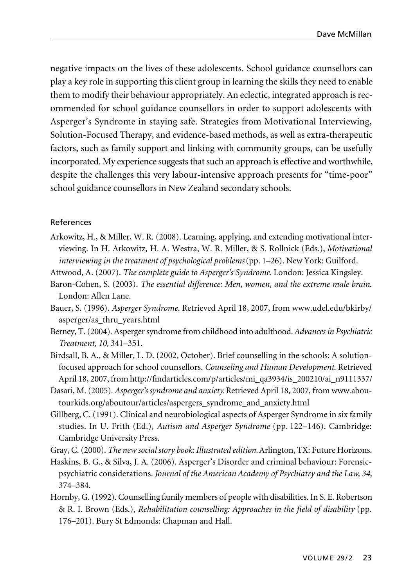negative impacts on the lives of these adolescents. School guidance counsellors can play a key role in supporting this client group in learning the skills they need to enable them to modify their behaviour appropriately. An eclectic, integrated approach is recommended for school guidance counsellors in order to support adolescents with Asperger's Syndrome in staying safe. Strategies from Motivational Interviewing, Solution-Focused Therapy, and evidence-based methods, as well as extra-therapeutic factors, such as family support and linking with community groups, can be usefully incorporated. My experience suggests that such an approach is effective and worthwhile, despite the challenges this very labour-intensive approach presents for "time-poor" school guidance counsellors in New Zealand secondary schools.

#### References

- Arkowitz, H., & Miller, W. R. (2008). Learning, applying, and extending motivational interviewing. In H. Arkowitz, H. A. Westra, W. R. Miller, & S. Rollnick (Eds.), *Motivational interviewing in the treatment of psychological problems*(pp. 1–26). New York: Guilford.
- Attwood, A. (2007). *The complete guide to Asperger's Syndrome.* London: Jessica Kingsley.
- Baron-Cohen, S. (2003). *The essential difference: Men, women, and the extreme male brain*. London: Allen Lane.
- Bauer, S. (1996). *Asperger Syndrome.* Retrieved April 18, 2007, from www.udel.edu/bkirby/ asperger/as\_thru\_years.html
- Berney, T. (2004). Asperger syndrome from childhood into adulthood. *Advances in Psychiatric Treatment, 10,* 341–351.
- Birdsall, B. A., & Miller, L. D. (2002, October). Brief counselling in the schools: A solutionfocused approach for school counsellors. *Counseling and Human Development*. Retrieved April 18, 2007, from http://findarticles.com/p/articles/mi\_qa3934/is\_200210/ai\_n9111337/
- Dasari, M. (2005). *Asperger's syndrome and anxiety.*Retrieved April 18, 2007, from www.aboutourkids.org/aboutour/articles/aspergers\_syndrome\_and\_anxiety.html
- Gillberg, C. (1991). Clinical and neurobiological aspects of Asperger Syndrome in six family studies. In U. Frith (Ed.), *Autism and Asperger Syndrome* (pp. 122–146). Cambridge: Cambridge University Press.
- Gray, C. (2000). *The new social story book: Illustrated edition.* Arlington, TX: Future Horizons.
- Haskins, B. G., & Silva, J. A. (2006). Asperger's Disorder and criminal behaviour: Forensicpsychiatric considerations. *Journal of the American Academy of Psychiatry and the Law, 34,* 374–384.
- Hornby, G. (1992). Counselling family members of people with disabilities. In S. E. Robertson & R. I. Brown (Eds.), *Rehabilitation counselling: Approaches in the field of disability* (pp. 176–201). Bury St Edmonds: Chapman and Hall.